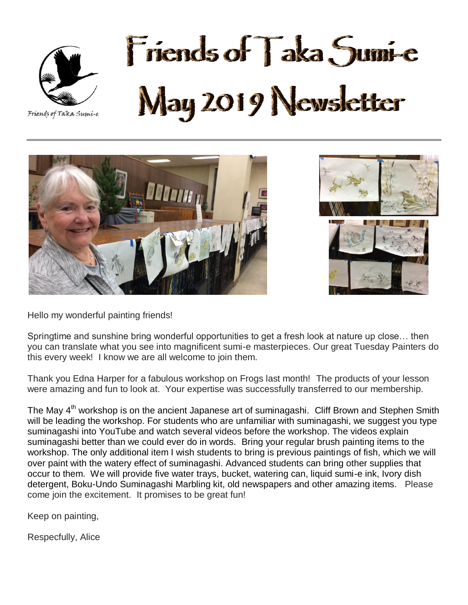

# Friends of Taka Sumi-e May 2019 Newsletter





Hello my wonderful painting friends!

Springtime and sunshine bring wonderful opportunities to get a fresh look at nature up close… then you can translate what you see into magnificent sumi-e masterpieces. Our great Tuesday Painters do this every week! I know we are all welcome to join them.

Thank you Edna Harper for a fabulous workshop on Frogs last month! The products of your lesson were amazing and fun to look at. Your expertise was successfully transferred to our membership.

The May 4<sup>th</sup> workshop is on the ancient Japanese art of suminagashi. Cliff Brown and Stephen Smith will be leading the workshop. For students who are unfamiliar with suminagashi, we suggest you type suminagashi into YouTube and watch several videos before the workshop. The videos explain suminagashi better than we could ever do in words. Bring your regular brush painting items to the workshop. The only additional item I wish students to bring is previous paintings of fish, which we will over paint with the watery effect of suminagashi. Advanced students can bring other supplies that occur to them. We will provide five water trays, bucket, watering can, liquid sumi-e ink, Ivory dish detergent, Boku-Undo Suminagashi Marbling kit, old newspapers and other amazing items. Please come join the excitement. It promises to be great fun!

Keep on painting,

Respecfully, Alice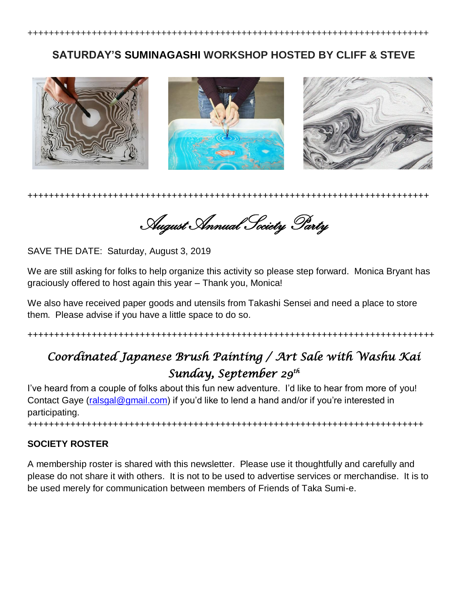+++++++++++++++++++++++++++++++++++++++++++++++++++++++++++++++++++++++++++

### **SATURDAY'S SUMINAGASHI WORKSHOP HOSTED BY CLIFF & STEVE**



+++++++++++++++++++++++++++++++++++++++++++++++++++++++++++++++++++++++++++

August Annual Society Party

SAVE THE DATE: Saturday, August 3, 2019

We are still asking for folks to help organize this activity so please step forward. Monica Bryant has graciously offered to host again this year – Thank you, Monica!

We also have received paper goods and utensils from Takashi Sensei and need a place to store them. Please advise if you have a little space to do so.

#### ++++++++++++++++++++++++++++++++++++++++++++++++++++++++++++++++++++++++++++

## *Coordinated Japanese Brush Painting / Art Sale with Washu Kai Sunday, September 29th*

I've heard from a couple of folks about this fun new adventure. I'd like to hear from more of you! Contact Gaye [\(ralsgal@gmail.com\)](mailto:ralsgal@gmail.com) if you'd like to lend a hand and/or if you're interested in participating.

++++++++++++++++++++++++++++++++++++++++++++++++++++++++++++++++++++++++++

#### **SOCIETY ROSTER**

A membership roster is shared with this newsletter. Please use it thoughtfully and carefully and please do not share it with others. It is not to be used to advertise services or merchandise. It is to be used merely for communication between members of Friends of Taka Sumi-e.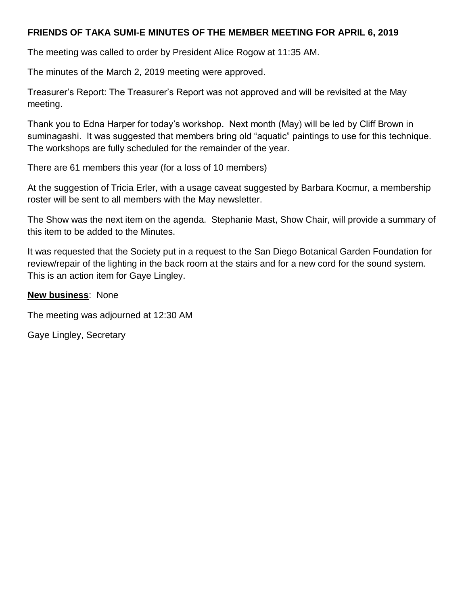#### **FRIENDS OF TAKA SUMI-E MINUTES OF THE MEMBER MEETING FOR APRIL 6, 2019**

The meeting was called to order by President Alice Rogow at 11:35 AM.

The minutes of the March 2, 2019 meeting were approved.

Treasurer's Report: The Treasurer's Report was not approved and will be revisited at the May meeting.

Thank you to Edna Harper for today's workshop. Next month (May) will be led by Cliff Brown in suminagashi. It was suggested that members bring old "aquatic" paintings to use for this technique. The workshops are fully scheduled for the remainder of the year.

There are 61 members this year (for a loss of 10 members)

At the suggestion of Tricia Erler, with a usage caveat suggested by Barbara Kocmur, a membership roster will be sent to all members with the May newsletter.

The Show was the next item on the agenda. Stephanie Mast, Show Chair, will provide a summary of this item to be added to the Minutes.

It was requested that the Society put in a request to the San Diego Botanical Garden Foundation for review/repair of the lighting in the back room at the stairs and for a new cord for the sound system. This is an action item for Gaye Lingley.

#### **New business**: None

The meeting was adjourned at 12:30 AM

Gaye Lingley, Secretary